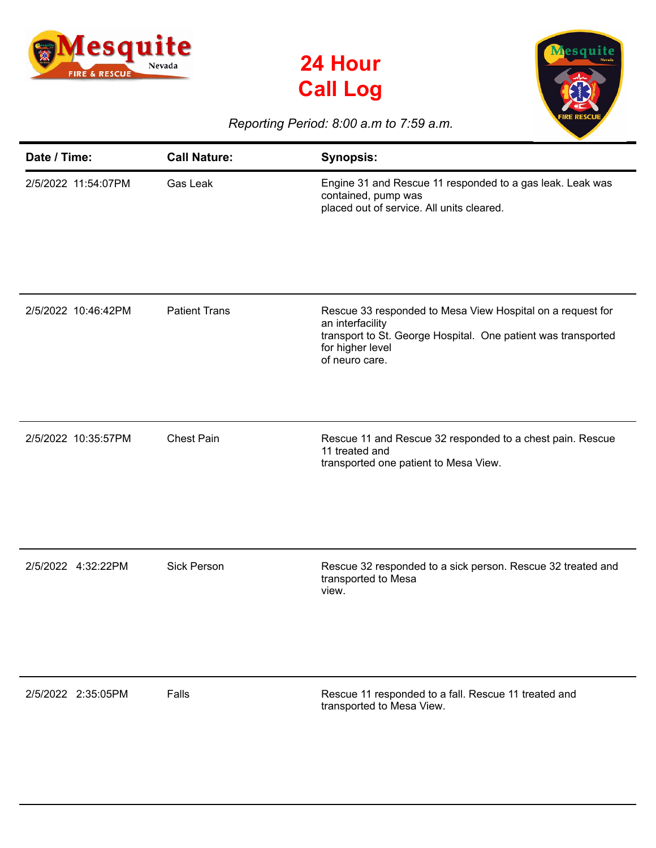





## *Reporting Period: 8:00 a.m to 7:59 a.m.*

| Date / Time:        | <b>Call Nature:</b>  | <b>Synopsis:</b>                                                                                                                                                                      |
|---------------------|----------------------|---------------------------------------------------------------------------------------------------------------------------------------------------------------------------------------|
| 2/5/2022 11:54:07PM | Gas Leak             | Engine 31 and Rescue 11 responded to a gas leak. Leak was<br>contained, pump was<br>placed out of service. All units cleared.                                                         |
| 2/5/2022 10:46:42PM | <b>Patient Trans</b> | Rescue 33 responded to Mesa View Hospital on a request for<br>an interfacility<br>transport to St. George Hospital. One patient was transported<br>for higher level<br>of neuro care. |
| 2/5/2022 10:35:57PM | <b>Chest Pain</b>    | Rescue 11 and Rescue 32 responded to a chest pain. Rescue<br>11 treated and<br>transported one patient to Mesa View.                                                                  |
| 2/5/2022 4:32:22PM  | <b>Sick Person</b>   | Rescue 32 responded to a sick person. Rescue 32 treated and<br>transported to Mesa<br>view.                                                                                           |
| 2/5/2022 2:35:05PM  | Falls                | Rescue 11 responded to a fall. Rescue 11 treated and<br>transported to Mesa View.                                                                                                     |